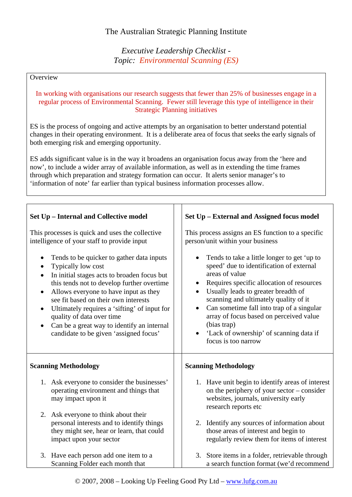## *Executive Leadership Checklist - Topic: Environmental Scanning (ES)*

## **Overview**

## In working with organisations our research suggests that fewer than 25% of businesses engage in a regular process of Environmental Scanning. Fewer still leverage this type of intelligence in their Strategic Planning initiatives

ES is the process of ongoing and active attempts by an organisation to better understand potential changes in their operating environment. It is a deliberate area of focus that seeks the early signals of both emerging risk and emerging opportunity.

ES adds significant value is in the way it broadens an organisation focus away from the 'here and now', to include a wider array of available information, as well as in extending the time frames through which preparation and strategy formation can occur. It alerts senior manager's to 'information of note' far earlier than typical business information processes allow.

| Set Up - Internal and Collective model                                                                                                                                                                                                                                                                                                                                                                                                                    | Set Up - External and Assigned focus model                                                                                                                                                                                                                                                                                                                                                                      |
|-----------------------------------------------------------------------------------------------------------------------------------------------------------------------------------------------------------------------------------------------------------------------------------------------------------------------------------------------------------------------------------------------------------------------------------------------------------|-----------------------------------------------------------------------------------------------------------------------------------------------------------------------------------------------------------------------------------------------------------------------------------------------------------------------------------------------------------------------------------------------------------------|
| This processes is quick and uses the collective<br>intelligence of your staff to provide input                                                                                                                                                                                                                                                                                                                                                            | This process assigns an ES function to a specific<br>person/unit within your business                                                                                                                                                                                                                                                                                                                           |
| Tends to be quicker to gather data inputs<br>Typically low cost<br>In initial stages acts to broaden focus but<br>$\bullet$<br>this tends not to develop further overtime<br>Allows everyone to have input as they<br>$\bullet$<br>see fit based on their own interests<br>Ultimately requires a 'sifting' of input for<br>$\bullet$<br>quality of data over time<br>Can be a great way to identify an internal<br>candidate to be given 'assigned focus' | Tends to take a little longer to get 'up to<br>speed' due to identification of external<br>areas of value<br>Requires specific allocation of resources<br>Usually leads to greater breadth of<br>scanning and ultimately quality of it<br>Can sometime fall into trap of a singular<br>array of focus based on perceived value<br>(bias trap)<br>'Lack of ownership' of scanning data if<br>focus is too narrow |
| <b>Scanning Methodology</b>                                                                                                                                                                                                                                                                                                                                                                                                                               | <b>Scanning Methodology</b>                                                                                                                                                                                                                                                                                                                                                                                     |
| 1. Ask everyone to consider the businesses'<br>operating environment and things that<br>may impact upon it                                                                                                                                                                                                                                                                                                                                                | 1. Have unit begin to identify areas of interest<br>on the periphery of your sector – consider<br>websites, journals, university early<br>research reports etc                                                                                                                                                                                                                                                  |
| 2. Ask everyone to think about their<br>personal interests and to identify things<br>they might see, hear or learn, that could<br>impact upon your sector                                                                                                                                                                                                                                                                                                 | 2. Identify any sources of information about<br>those areas of interest and begin to<br>regularly review them for items of interest                                                                                                                                                                                                                                                                             |
| 3. Have each person add one item to a<br>Scanning Folder each month that                                                                                                                                                                                                                                                                                                                                                                                  | 3. Store items in a folder, retrievable through<br>a search function format (we'd recommend                                                                                                                                                                                                                                                                                                                     |